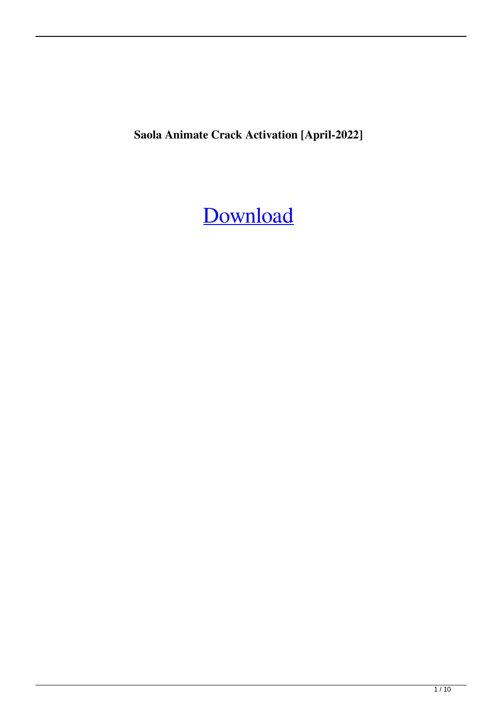**Saola Animate Crack Activation [April-2022]**

## [Download](http://evacdir.com/backbone/ZG93bmxvYWR8bmUyYTJOOGZERTJOVFl3TWpFeU1EWjhmREkxTnpSOGZDaE5LU0J5WldGa0xXSnNiMmNnVzBaaGMzUWdSMFZPWFE.bodys?U2FvbGEgQW5pbWF0ZQU2F.&koins=depended)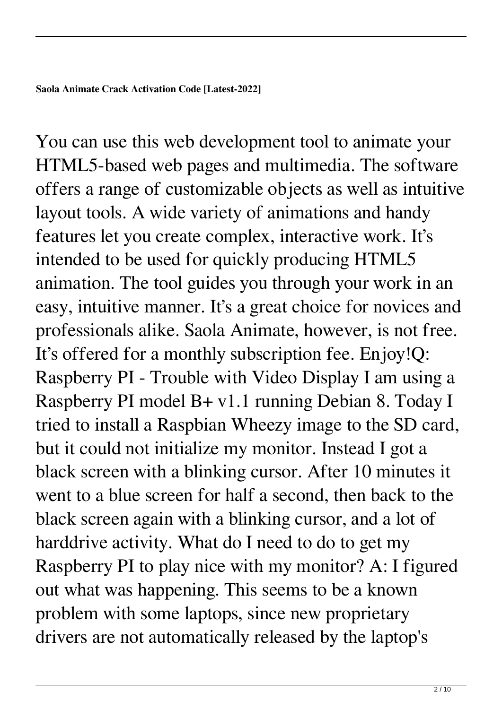You can use this web development tool to animate your HTML5-based web pages and multimedia. The software offers a range of customizable objects as well as intuitive layout tools. A wide variety of animations and handy features let you create complex, interactive work. It's intended to be used for quickly producing HTML5 animation. The tool guides you through your work in an easy, intuitive manner. It's a great choice for novices and professionals alike. Saola Animate, however, is not free. It's offered for a monthly subscription fee. Enjoy!Q: Raspberry PI - Trouble with Video Display I am using a Raspberry PI model B+ v1.1 running Debian 8. Today I tried to install a Raspbian Wheezy image to the SD card, but it could not initialize my monitor. Instead I got a black screen with a blinking cursor. After 10 minutes it went to a blue screen for half a second, then back to the black screen again with a blinking cursor, and a lot of harddrive activity. What do I need to do to get my Raspberry PI to play nice with my monitor? A: I figured out what was happening. This seems to be a known problem with some laptops, since new proprietary drivers are not automatically released by the laptop's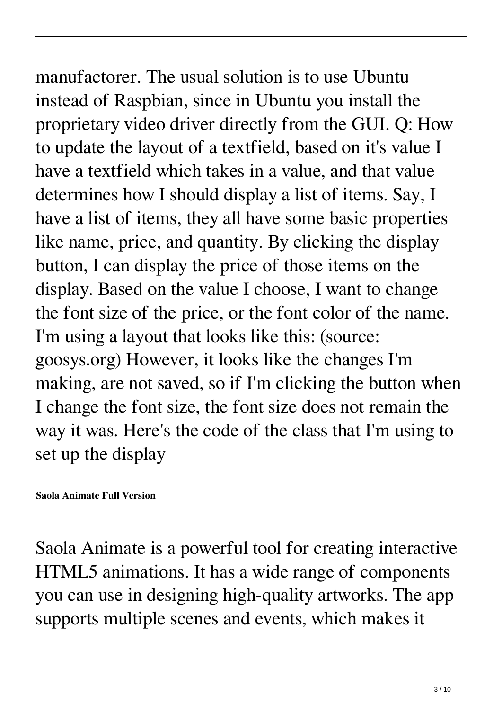manufactorer. The usual solution is to use Ubuntu instead of Raspbian, since in Ubuntu you install the proprietary video driver directly from the GUI. Q: How to update the layout of a textfield, based on it's value I have a textfield which takes in a value, and that value determines how I should display a list of items. Say, I have a list of items, they all have some basic properties like name, price, and quantity. By clicking the display button, I can display the price of those items on the display. Based on the value I choose, I want to change the font size of the price, or the font color of the name. I'm using a layout that looks like this: (source: goosys.org) However, it looks like the changes I'm making, are not saved, so if I'm clicking the button when I change the font size, the font size does not remain the way it was. Here's the code of the class that I'm using to set up the display

## **Saola Animate Full Version**

Saola Animate is a powerful tool for creating interactive HTML5 animations. It has a wide range of components you can use in designing high-quality artworks. The app supports multiple scenes and events, which makes it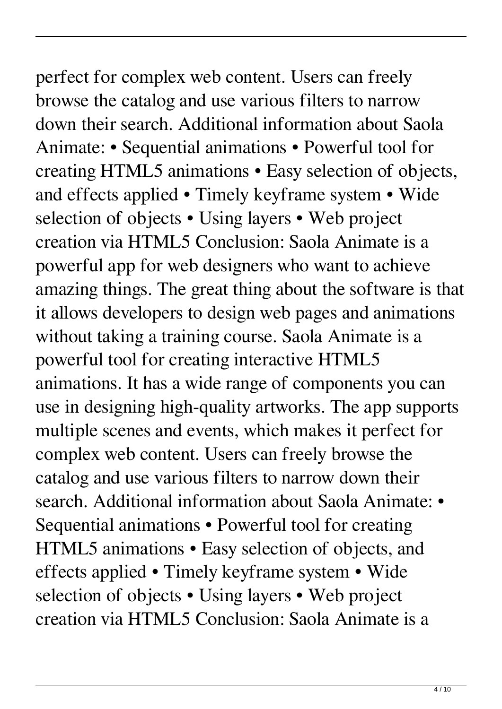## perfect for complex web content. Users can freely browse the catalog and use various filters to narrow down their search. Additional information about Saola Animate: • Sequential animations • Powerful tool for creating HTML5 animations • Easy selection of objects, and effects applied • Timely keyframe system • Wide selection of objects • Using layers • Web project creation via HTML5 Conclusion: Saola Animate is a powerful app for web designers who want to achieve amazing things. The great thing about the software is that it allows developers to design web pages and animations without taking a training course. Saola Animate is a powerful tool for creating interactive HTML5 animations. It has a wide range of components you can use in designing high-quality artworks. The app supports multiple scenes and events, which makes it perfect for complex web content. Users can freely browse the catalog and use various filters to narrow down their search. Additional information about Saola Animate: • Sequential animations • Powerful tool for creating HTML5 animations • Easy selection of objects, and effects applied • Timely keyframe system • Wide

creation via HTML5 Conclusion: Saola Animate is a

selection of objects • Using layers • Web project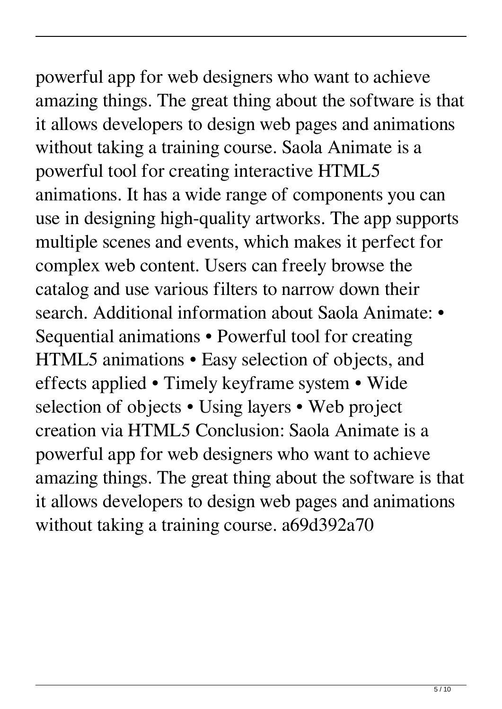## powerful app for web designers who want to achieve amazing things. The great thing about the software is that it allows developers to design web pages and animations without taking a training course. Saola Animate is a powerful tool for creating interactive HTML5 animations. It has a wide range of components you can use in designing high-quality artworks. The app supports multiple scenes and events, which makes it perfect for complex web content. Users can freely browse the catalog and use various filters to narrow down their search. Additional information about Saola Animate: •

Sequential animations • Powerful tool for creating HTML5 animations • Easy selection of objects, and effects applied • Timely keyframe system • Wide selection of objects • Using layers • Web project creation via HTML5 Conclusion: Saola Animate is a powerful app for web designers who want to achieve amazing things. The great thing about the software is that it allows developers to design web pages and animations without taking a training course. a69d392a70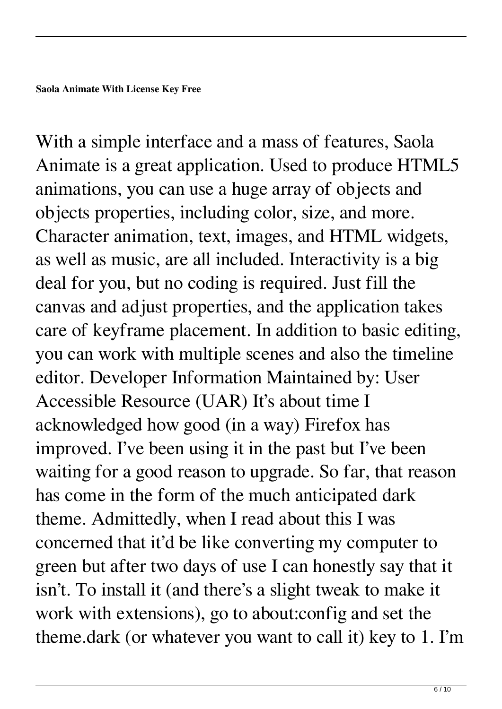With a simple interface and a mass of features, Saola Animate is a great application. Used to produce HTML5 animations, you can use a huge array of objects and objects properties, including color, size, and more. Character animation, text, images, and HTML widgets, as well as music, are all included. Interactivity is a big deal for you, but no coding is required. Just fill the canvas and adjust properties, and the application takes care of keyframe placement. In addition to basic editing, you can work with multiple scenes and also the timeline editor. Developer Information Maintained by: User Accessible Resource (UAR) It's about time I acknowledged how good (in a way) Firefox has improved. I've been using it in the past but I've been waiting for a good reason to upgrade. So far, that reason has come in the form of the much anticipated dark theme. Admittedly, when I read about this I was concerned that it'd be like converting my computer to green but after two days of use I can honestly say that it isn't. To install it (and there's a slight tweak to make it work with extensions), go to about:config and set the theme.dark (or whatever you want to call it) key to 1. I'm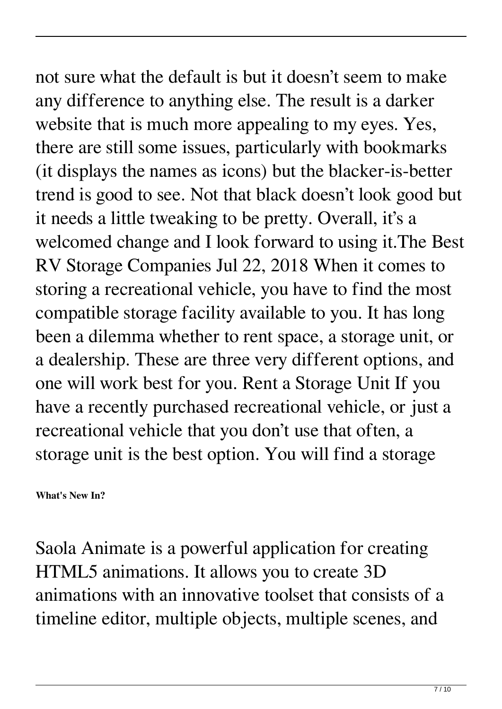not sure what the default is but it doesn't seem to make any difference to anything else. The result is a darker website that is much more appealing to my eyes. Yes, there are still some issues, particularly with bookmarks (it displays the names as icons) but the blacker-is-better trend is good to see. Not that black doesn't look good but it needs a little tweaking to be pretty. Overall, it's a welcomed change and I look forward to using it.The Best RV Storage Companies Jul 22, 2018 When it comes to storing a recreational vehicle, you have to find the most compatible storage facility available to you. It has long been a dilemma whether to rent space, a storage unit, or a dealership. These are three very different options, and one will work best for you. Rent a Storage Unit If you have a recently purchased recreational vehicle, or just a recreational vehicle that you don't use that often, a storage unit is the best option. You will find a storage

**What's New In?**

Saola Animate is a powerful application for creating HTML5 animations. It allows you to create 3D animations with an innovative toolset that consists of a timeline editor, multiple objects, multiple scenes, and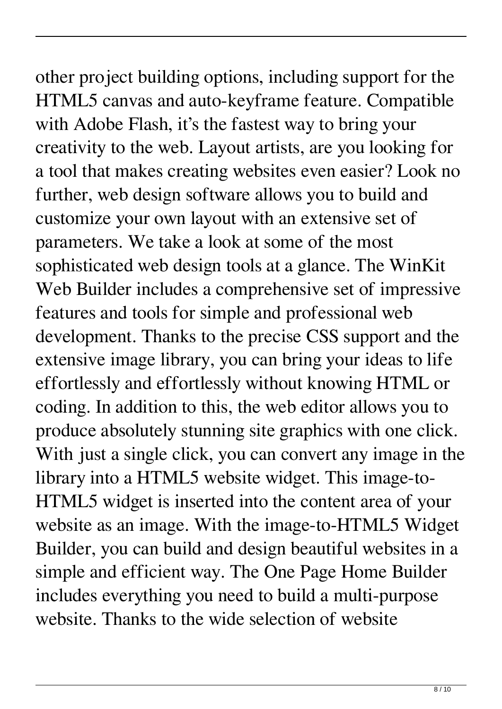other project building options, including support for the HTML5 canvas and auto-keyframe feature. Compatible with Adobe Flash, it's the fastest way to bring your creativity to the web. Layout artists, are you looking for a tool that makes creating websites even easier? Look no further, web design software allows you to build and customize your own layout with an extensive set of parameters. We take a look at some of the most sophisticated web design tools at a glance. The WinKit Web Builder includes a comprehensive set of impressive features and tools for simple and professional web development. Thanks to the precise CSS support and the extensive image library, you can bring your ideas to life effortlessly and effortlessly without knowing HTML or coding. In addition to this, the web editor allows you to produce absolutely stunning site graphics with one click. With just a single click, you can convert any image in the library into a HTML5 website widget. This image-to-HTML5 widget is inserted into the content area of your website as an image. With the image-to-HTML5 Widget Builder, you can build and design beautiful websites in a simple and efficient way. The One Page Home Builder includes everything you need to build a multi-purpose website. Thanks to the wide selection of website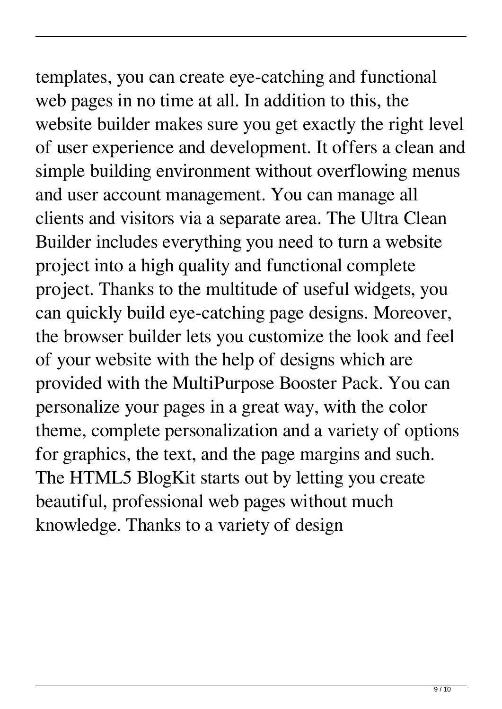templates, you can create eye-catching and functional web pages in no time at all. In addition to this, the website builder makes sure you get exactly the right level of user experience and development. It offers a clean and simple building environment without overflowing menus and user account management. You can manage all clients and visitors via a separate area. The Ultra Clean Builder includes everything you need to turn a website project into a high quality and functional complete project. Thanks to the multitude of useful widgets, you can quickly build eye-catching page designs. Moreover, the browser builder lets you customize the look and feel of your website with the help of designs which are provided with the MultiPurpose Booster Pack. You can personalize your pages in a great way, with the color theme, complete personalization and a variety of options for graphics, the text, and the page margins and such. The HTML5 BlogKit starts out by letting you create beautiful, professional web pages without much knowledge. Thanks to a variety of design